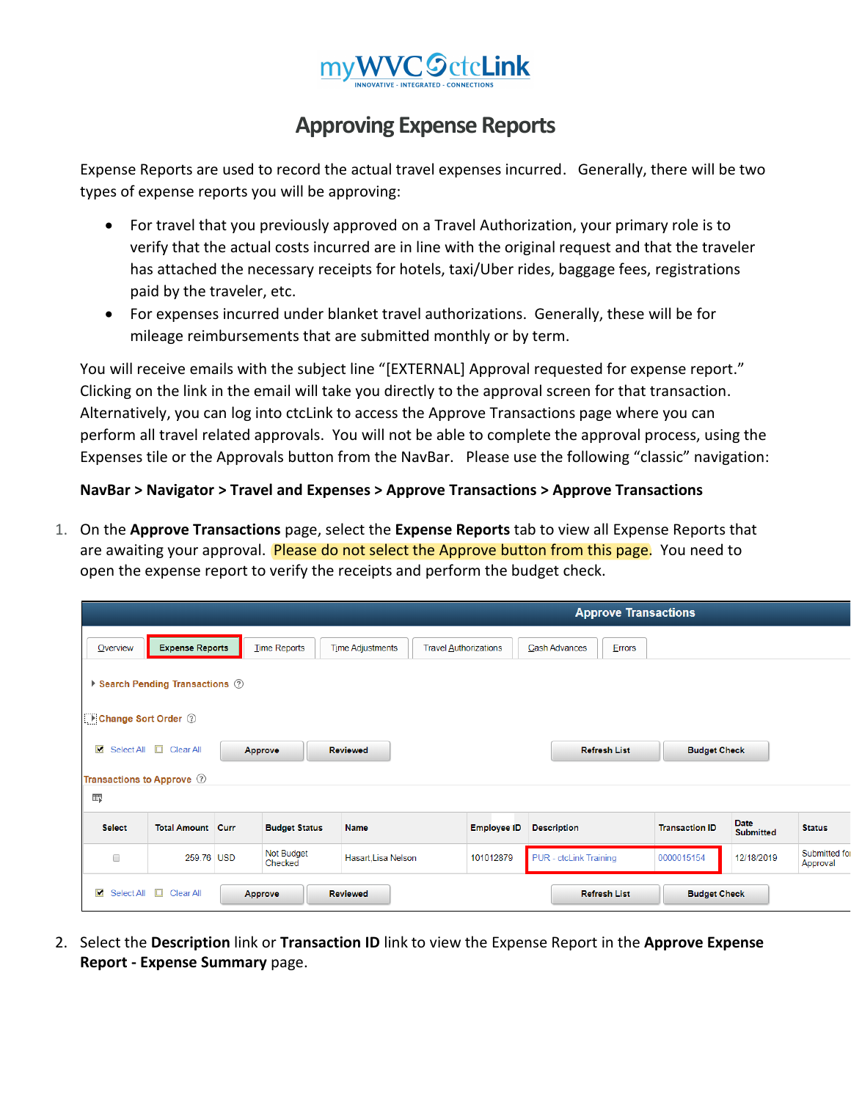

## **Approving Expense Reports**

Expense Reports are used to record the actual travel expenses incurred. Generally, there will be two types of expense reports you will be approving:

- For travel that you previously approved on a Travel Authorization, your primary role is to verify that the actual costs incurred are in line with the original request and that the traveler has attached the necessary receipts for hotels, taxi/Uber rides, baggage fees, registrations paid by the traveler, etc.
- For expenses incurred under blanket travel authorizations. Generally, these will be for mileage reimbursements that are submitted monthly or by term.

You will receive emails with the subject line "[EXTERNAL] Approval requested for expense report." Clicking on the link in the email will take you directly to the approval screen for that transaction. Alternatively, you can log into ctcLink to access the Approve Transactions page where you can perform all travel related approvals. You will not be able to complete the approval process, using the Expenses tile or the Approvals button from the NavBar. Please use the following "classic" navigation:

## **NavBar > Navigator > Travel and Expenses > Approve Transactions > Approve Transactions**

1. On the **Approve Transactions** page, select the **Expense Reports** tab to view all Expense Reports that are awaiting your approval. Please do not select the Approve button from this page. You need to open the expense report to verify the receipts and perform the budget check.

|                              | <b>Approve Transactions</b>     |  |                       |                                                         |                    |                         |                       |                                 |                           |
|------------------------------|---------------------------------|--|-----------------------|---------------------------------------------------------|--------------------|-------------------------|-----------------------|---------------------------------|---------------------------|
| <b>Overview</b>              | <b>Expense Reports</b>          |  | <b>Time Reports</b>   | <b>Time Adjustments</b><br><b>Travel Authorizations</b> |                    | Cash Advances<br>Errors |                       |                                 |                           |
|                              | ▶ Search Pending Transactions ② |  |                       |                                                         |                    |                         |                       |                                 |                           |
| Change Sort Order 2          |                                 |  |                       |                                                         |                    |                         |                       |                                 |                           |
| $\blacksquare$               | Select All <b>D</b> Clear All   |  | Approve               | <b>Reviewed</b>                                         |                    | <b>Refresh List</b>     | <b>Budget Check</b>   |                                 |                           |
| Transactions to Approve 2    |                                 |  |                       |                                                         |                    |                         |                       |                                 |                           |
| 霉                            |                                 |  |                       |                                                         |                    |                         |                       |                                 |                           |
| <b>Select</b>                | <b>Total Amount Curr</b>        |  | <b>Budget Status</b>  | <b>Name</b>                                             | <b>Employee ID</b> | <b>Description</b>      | <b>Transaction ID</b> | <b>Date</b><br><b>Submitted</b> | <b>Status</b>             |
| $\Box$                       | 259.76 USD                      |  | Not Budget<br>Checked | Hasart, Lisa Nelson                                     | 101012879          | PUR - ctcLink Training  | 0000015154            | 12/18/2019                      | Submitted for<br>Approval |
| $\blacksquare$<br>Select All | $\Box$<br>Clear All             |  | Approve               | <b>Reviewed</b>                                         |                    | <b>Refresh List</b>     | <b>Budget Check</b>   |                                 |                           |

2. Select the **Description** link or **Transaction ID** link to view the Expense Report in the **Approve Expense Report - Expense Summary** page.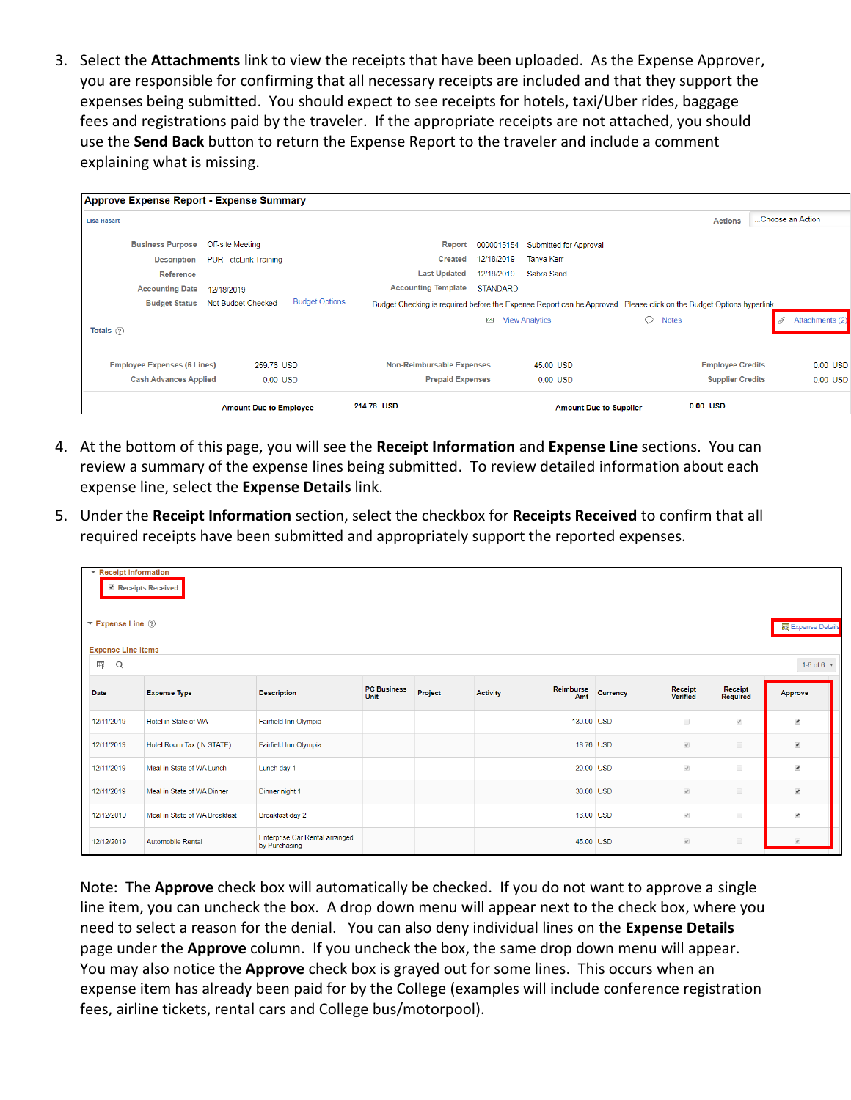3. Select the **Attachments** link to view the receipts that have been uploaded. As the Expense Approver, you are responsible for confirming that all necessary receipts are included and that they support the expenses being submitted. You should expect to see receipts for hotels, taxi/Uber rides, baggage fees and registrations paid by the traveler. If the appropriate receipts are not attached, you should use the **Send Back** button to return the Expense Report to the traveler and include a comment explaining what is missing.

|                                          | <b>Amount Due to Employee</b>                      | 214.76 USD                                                                                                           |                 | <b>Amount Due to Supplier</b> |                         | 0.00 USD                |                  |
|------------------------------------------|----------------------------------------------------|----------------------------------------------------------------------------------------------------------------------|-----------------|-------------------------------|-------------------------|-------------------------|------------------|
| <b>Cash Advances Applied</b>             | 0.00 USD                                           | <b>Prepaid Expenses</b>                                                                                              |                 | 0.00 USD                      |                         | <b>Supplier Credits</b> | 0.00 USD         |
| <b>Employee Expenses (6 Lines)</b>       | 259.76 USD                                         | <b>Non-Reimbursable Expenses</b>                                                                                     |                 | 45.00 USD                     |                         | <b>Employee Credits</b> | 0.00 USD         |
| Totals $(?)$                             |                                                    |                                                                                                                      |                 |                               |                         |                         |                  |
|                                          |                                                    |                                                                                                                      | <b>BAR</b>      | <b>View Analytics</b>         | $\circ$<br><b>Notes</b> |                         | Attachments (2)  |
| <b>Budget Status</b>                     | <b>Budget Options</b><br><b>Not Budget Checked</b> | Budget Checking is required before the Expense Report can be Approved. Please click on the Budget Options hyperlink. |                 |                               |                         |                         |                  |
| <b>Accounting Date</b>                   | 12/18/2019                                         | <b>Accounting Template</b>                                                                                           | <b>STANDARD</b> |                               |                         |                         |                  |
| Reference                                |                                                    | <b>Last Updated</b>                                                                                                  | 12/18/2019      | Sabra Sand                    |                         |                         |                  |
| <b>Description</b>                       | <b>PUR</b> - ctcLink Training                      | <b>Created</b>                                                                                                       | 12/18/2019      | Tanya Kerr                    |                         |                         |                  |
| <b>Business Purpose</b>                  | Off-site Meeting                                   | Report                                                                                                               | 0000015154      | <b>Submitted for Approval</b> |                         |                         |                  |
| <b>Lisa Hasart</b>                       |                                                    |                                                                                                                      |                 |                               |                         | <b>Actions</b>          | Choose an Action |
| Approve Expense Report - Expense Summary |                                                    |                                                                                                                      |                 |                               |                         |                         |                  |
|                                          |                                                    |                                                                                                                      |                 |                               |                         |                         |                  |

- 4. At the bottom of this page, you will see the **Receipt Information** and **Expense Line** sections. You can review a summary of the expense lines being submitted. To review detailed information about each expense line, select the **Expense Details** link.
- 5. Under the **Receipt Information** section, select the checkbox for **Receipts Received** to confirm that all required receipts have been submitted and appropriately support the reported expenses.

| ▼ Receipt Information<br>$\blacktriangledown$ Expense Line $\oslash$<br><b>Expense Line Items</b> | Receipts Received             |                                                        |                            |         |                 |                  |          |                     |                     | <b>Expense Details</b>   |
|---------------------------------------------------------------------------------------------------|-------------------------------|--------------------------------------------------------|----------------------------|---------|-----------------|------------------|----------|---------------------|---------------------|--------------------------|
| 靈<br>Q                                                                                            |                               |                                                        |                            |         |                 |                  |          |                     |                     | 1-6 of 6 $-$             |
| Date                                                                                              | <b>Expense Type</b>           | <b>Description</b>                                     | <b>PC Business</b><br>Unit | Project | <b>Activity</b> | Reimburse<br>Amt | Currency | Receipt<br>Verified | Receipt<br>Required | Approve                  |
| 12/11/2019                                                                                        | Hotel in State of WA          | Fairfield Inn Olympia                                  |                            |         |                 | 130.00 USD       |          | $\Box$              | $\mathcal{A}$       | $\overline{\mathcal{L}}$ |
| 12/11/2019                                                                                        | Hotel Room Tax (IN STATE)     | Fairfield Inn Olympia                                  |                            |         |                 | 18.76 USD        |          | $\mathcal{A}$       | $\Box$              | $\blacktriangledown$     |
| 12/11/2019                                                                                        | Meal in State of WA Lunch     | Lunch day 1                                            |                            |         |                 | 20.00 USD        |          | $\mathcal{A}$       | $\Box$              | $\overline{\mathcal{L}}$ |
| 12/11/2019                                                                                        | Meal in State of WA Dinner    | Dinner night 1                                         |                            |         |                 | 30.00 USD        |          | $\mathcal{A}$       | $\Box$              | $\blacktriangleright$    |
| 12/12/2019                                                                                        | Meal in State of WA Breakfast | Breakfast day 2                                        |                            |         |                 | 16.00 USD        |          | $\mathcal{A}$       | $\Box$              | $\overline{\mathcal{L}}$ |
| 12/12/2019                                                                                        | <b>Automobile Rental</b>      | <b>Enterprise Car Rental arranged</b><br>by Purchasing |                            |         |                 | 45.00 USD        |          | $\mathcal{A}$       | $\Box$              |                          |

Note: The **Approve** check box will automatically be checked. If you do not want to approve a single line item, you can uncheck the box. A drop down menu will appear next to the check box, where you need to select a reason for the denial. You can also deny individual lines on the **Expense Details** page under the **Approve** column. If you uncheck the box, the same drop down menu will appear. You may also notice the **Approve** check box is grayed out for some lines. This occurs when an expense item has already been paid for by the College (examples will include conference registration fees, airline tickets, rental cars and College bus/motorpool).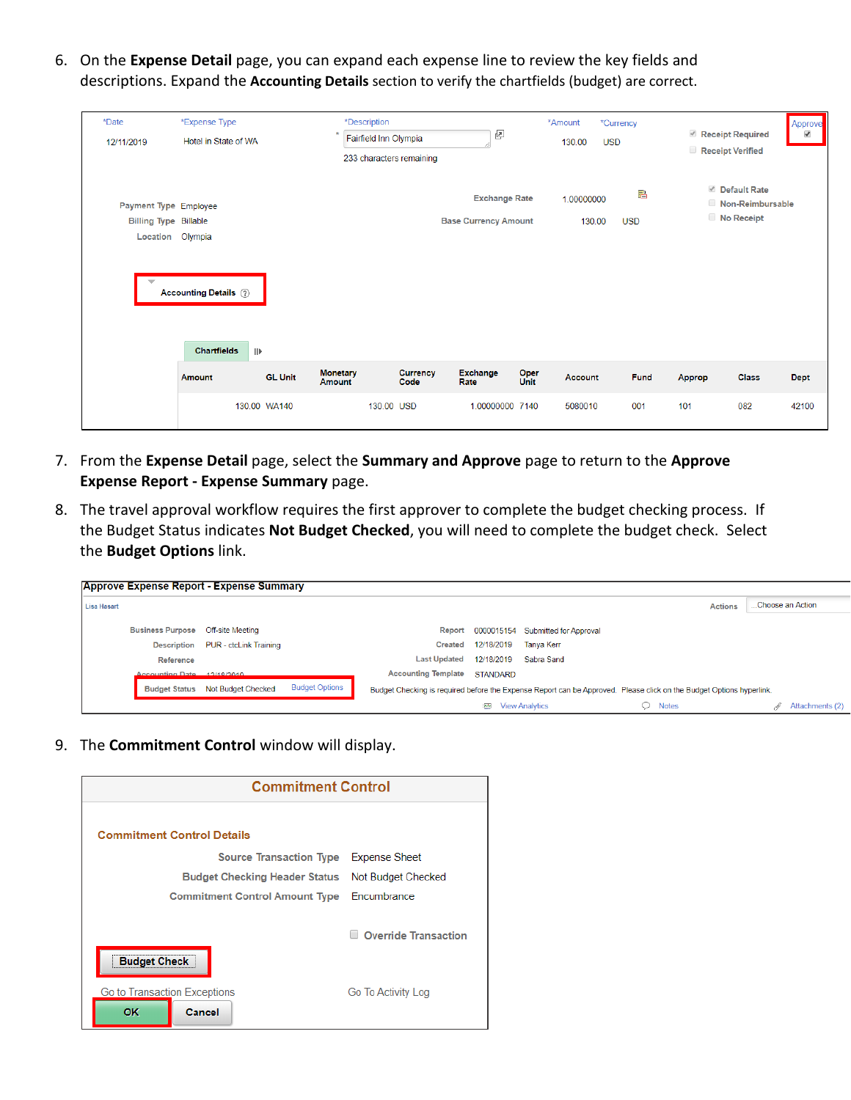6. On the **Expense Detail** page, you can expand each expense line to review the key fields and descriptions. Expand the **Accounting Details** section to verify the chartfields (budget) are correct.

| *Date<br>12/11/2019                                                       | *Expense Type<br>Hotel in State of WA                              |                | *Description<br>Fairfield Inn Olympia<br>233 characters remaining |                  | ₫                                                   |                     | *Amount<br>130.00    | *Currency<br><b>USD</b> | Receipt Required<br>Receipt Verified |                                                | Approve<br>$\overline{\mathcal{L}}$ |
|---------------------------------------------------------------------------|--------------------------------------------------------------------|----------------|-------------------------------------------------------------------|------------------|-----------------------------------------------------|---------------------|----------------------|-------------------------|--------------------------------------|------------------------------------------------|-------------------------------------|
| Payment Type Employee<br><b>Billing Type Billable</b><br>Location Olympia |                                                                    |                |                                                                   |                  | <b>Exchange Rate</b><br><b>Base Currency Amount</b> |                     | 1.00000000<br>130.00 | 晶<br><b>USD</b>         |                                      | Default Rate<br>Non-Reimbursable<br>No Receipt |                                     |
|                                                                           | <b>Accounting Details (?)</b><br><b>Chartfields</b><br>$\parallel$ |                |                                                                   |                  |                                                     |                     |                      |                         |                                      |                                                |                                     |
|                                                                           | <b>Amount</b>                                                      | <b>GL Unit</b> | <b>Monetary</b><br><b>Amount</b>                                  | Currency<br>Code | Exchange<br>Rate                                    | Oper<br><b>Unit</b> | <b>Account</b>       | Fund                    | Approp                               | <b>Class</b>                                   | <b>Dept</b>                         |
|                                                                           |                                                                    | 130.00 WA140   | 130.00 USD                                                        |                  | 1.00000000 7140                                     |                     | 5080010              | 001                     | 101                                  | 082                                            | 42100                               |

- 7. From the **Expense Detail** page, select the **Summary and Approve** page to return to the **Approve Expense Report - Expense Summary** page.
- 8. The travel approval workflow requires the first approver to complete the budget checking process. If the Budget Status indicates **Not Budget Checked**, you will need to complete the budget check. Select the **Budget Options** link.

|                    |                            | <b>Approve Expense Report - Expense Summary</b> |                       |                            |                 |                                          |                                                                                                                      |                      |
|--------------------|----------------------------|-------------------------------------------------|-----------------------|----------------------------|-----------------|------------------------------------------|----------------------------------------------------------------------------------------------------------------------|----------------------|
| <b>Lisa Hasart</b> |                            |                                                 |                       |                            |                 |                                          | <b>Actions</b>                                                                                                       | Choose an Action     |
|                    | <b>Business Purpose</b>    | <b>Off-site Meeting</b>                         |                       |                            |                 | Report 0000015154 Submitted for Approval |                                                                                                                      |                      |
|                    | <b>Description</b>         | PUR - ctcLink Training                          |                       | <b>Created</b>             | 12/18/2019      | Tanva Kerr                               |                                                                                                                      |                      |
|                    | Reference                  |                                                 |                       | <b>Last Updated</b>        | 12/18/2019      | Sabra Sand                               |                                                                                                                      |                      |
|                    | Accounting Date 12/18/2019 |                                                 |                       | <b>Accounting Template</b> | <b>STANDARD</b> |                                          |                                                                                                                      |                      |
|                    |                            | <b>Budget Status Not Budget Checked</b>         | <b>Budget Options</b> |                            |                 |                                          | Budget Checking is required before the Expense Report can be Approved. Please click on the Budget Options hyperlink. |                      |
|                    |                            |                                                 |                       |                            | $\lambda$       | <b>View Analytics</b>                    | $\circ$ Notes                                                                                                        | Attachments (2)<br>M |

9. The **Commitment Control** window will display.